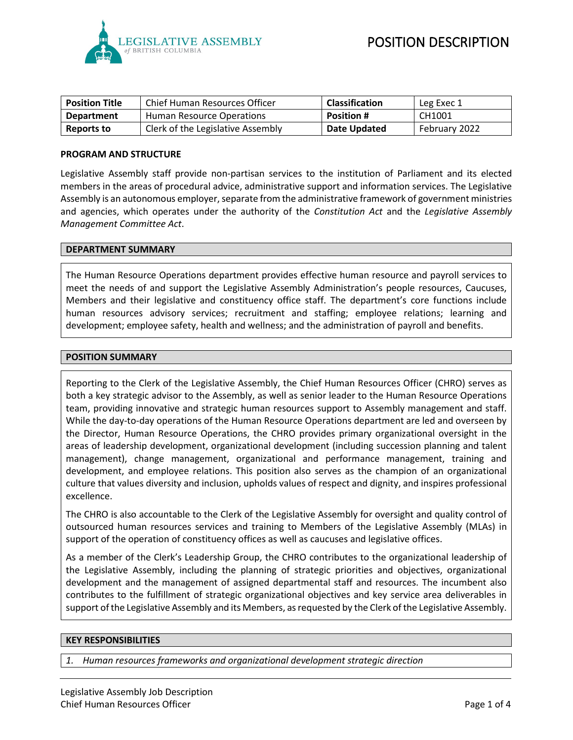

| <b>Position Title</b> | Chief Human Resources Officer     | <b>Classification</b> | Leg Exec 1    |
|-----------------------|-----------------------------------|-----------------------|---------------|
| <b>Department</b>     | Human Resource Operations         | <b>Position #</b>     | CH1001        |
| Reports to            | Clerk of the Legislative Assembly | Date Updated          | February 2022 |

#### **PROGRAM AND STRUCTURE**

Legislative Assembly staff provide non-partisan services to the institution of Parliament and its elected members in the areas of procedural advice, administrative support and information services. The Legislative Assembly is an autonomous employer, separate from the administrative framework of government ministries and agencies, which operates under the authority of the *Constitution Act* and the *Legislative Assembly Management Committee Act*.

#### **DEPARTMENT SUMMARY**

The Human Resource Operations department provides effective human resource and payroll services to meet the needs of and support the Legislative Assembly Administration's people resources, Caucuses, Members and their legislative and constituency office staff. The department's core functions include human resources advisory services; recruitment and staffing; employee relations; learning and development; employee safety, health and wellness; and the administration of payroll and benefits.

#### **POSITION SUMMARY**

Reporting to the Clerk of the Legislative Assembly, the Chief Human Resources Officer (CHRO) serves as both a key strategic advisor to the Assembly, as well as senior leader to the Human Resource Operations team, providing innovative and strategic human resources support to Assembly management and staff. While the day-to-day operations of the Human Resource Operations department are led and overseen by the Director, Human Resource Operations, the CHRO provides primary organizational oversight in the areas of leadership development, organizational development (including succession planning and talent management), change management, organizational and performance management, training and development, and employee relations. This position also serves as the champion of an organizational culture that values diversity and inclusion, upholds values of respect and dignity, and inspires professional excellence.

The CHRO is also accountable to the Clerk of the Legislative Assembly for oversight and quality control of outsourced human resources services and training to Members of the Legislative Assembly (MLAs) in support of the operation of constituency offices as well as caucuses and legislative offices.

As a member of the Clerk's Leadership Group, the CHRO contributes to the organizational leadership of the Legislative Assembly, including the planning of strategic priorities and objectives, organizational development and the management of assigned departmental staff and resources. The incumbent also contributes to the fulfillment of strategic organizational objectives and key service area deliverables in support of the Legislative Assembly and its Members, as requested by the Clerk of the Legislative Assembly.

#### **KEY RESPONSIBILITIES**

*1. Human resources frameworks and organizational development strategic direction*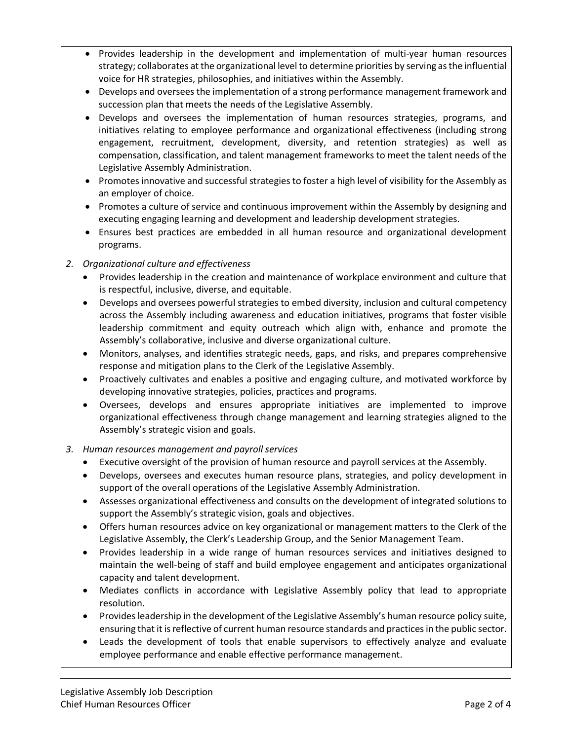- Provides leadership in the development and implementation of multi-year human resources strategy; collaborates at the organizational level to determine priorities by serving as the influential voice for HR strategies, philosophies, and initiatives within the Assembly.
- Develops and oversees the implementation of a strong performance management framework and succession plan that meets the needs of the Legislative Assembly.
- Develops and oversees the implementation of human resources strategies, programs, and initiatives relating to employee performance and organizational effectiveness (including strong engagement, recruitment, development, diversity, and retention strategies) as well as compensation, classification, and talent management frameworks to meet the talent needs of the Legislative Assembly Administration.
- Promotes innovative and successful strategies to foster a high level of visibility for the Assembly as an employer of choice.
- Promotes a culture of service and continuous improvement within the Assembly by designing and executing engaging learning and development and leadership development strategies.
- Ensures best practices are embedded in all human resource and organizational development programs.

# *2. Organizational culture and effectiveness*

- Provides leadership in the creation and maintenance of workplace environment and culture that is respectful, inclusive, diverse, and equitable.
- Develops and oversees powerful strategies to embed diversity, inclusion and cultural competency across the Assembly including awareness and education initiatives, programs that foster visible leadership commitment and equity outreach which align with, enhance and promote the Assembly's collaborative, inclusive and diverse organizational culture.
- Monitors, analyses, and identifies strategic needs, gaps, and risks, and prepares comprehensive response and mitigation plans to the Clerk of the Legislative Assembly.
- Proactively cultivates and enables a positive and engaging culture, and motivated workforce by developing innovative strategies, policies, practices and programs.
- Oversees, develops and ensures appropriate initiatives are implemented to improve organizational effectiveness through change management and learning strategies aligned to the Assembly's strategic vision and goals.

## *3. Human resources management and payroll services*

- Executive oversight of the provision of human resource and payroll services at the Assembly.
- Develops, oversees and executes human resource plans, strategies, and policy development in support of the overall operations of the Legislative Assembly Administration.
- Assesses organizational effectiveness and consults on the development of integrated solutions to support the Assembly's strategic vision, goals and objectives.
- Offers human resources advice on key organizational or management matters to the Clerk of the Legislative Assembly, the Clerk's Leadership Group, and the Senior Management Team.
- Provides leadership in a wide range of human resources services and initiatives designed to maintain the well-being of staff and build employee engagement and anticipates organizational capacity and talent development.
- Mediates conflicts in accordance with Legislative Assembly policy that lead to appropriate resolution.
- Provides leadership in the development of the Legislative Assembly's human resource policy suite, ensuring that it is reflective of current human resource standards and practices in the public sector.
- Leads the development of tools that enable supervisors to effectively analyze and evaluate employee performance and enable effective performance management.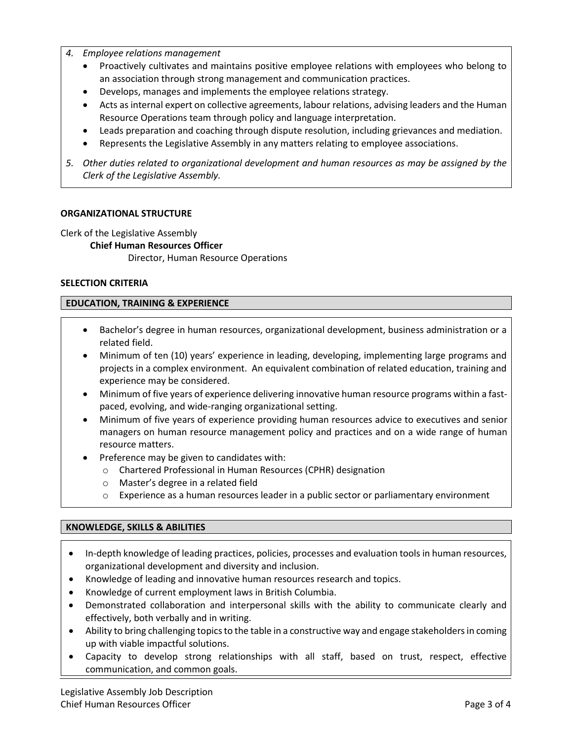- *4. Employee relations management*
	- Proactively cultivates and maintains positive employee relations with employees who belong to an association through strong management and communication practices.
	- Develops, manages and implements the employee relations strategy.
	- Acts as internal expert on collective agreements, labour relations, advising leaders and the Human Resource Operations team through policy and language interpretation.
	- Leads preparation and coaching through dispute resolution, including grievances and mediation.
	- Represents the Legislative Assembly in any matters relating to employee associations.
- *5. Other duties related to organizational development and human resources as may be assigned by the Clerk of the Legislative Assembly.*

## **ORGANIZATIONAL STRUCTURE**

Clerk of the Legislative Assembly

## **Chief Human Resources Officer**

Director, Human Resource Operations

#### **SELECTION CRITERIA**

## **EDUCATION, TRAINING & EXPERIENCE**

- Bachelor's degree in human resources, organizational development, business administration or a related field.
- Minimum of ten (10) years' experience in leading, developing, implementing large programs and projects in a complex environment. An equivalent combination of related education, training and experience may be considered.
- Minimum of five years of experience delivering innovative human resource programs within a fastpaced, evolving, and wide-ranging organizational setting.
- Minimum of five years of experience providing human resources advice to executives and senior managers on human resource management policy and practices and on a wide range of human resource matters.
- Preference may be given to candidates with:
	- o Chartered Professional in Human Resources (CPHR) designation
	- o Master's degree in a related field
	- o Experience as a human resources leader in a public sector or parliamentary environment

## **KNOWLEDGE, SKILLS & ABILITIES**

- In-depth knowledge of leading practices, policies, processes and evaluation tools in human resources, organizational development and diversity and inclusion.
- Knowledge of leading and innovative human resources research and topics.
- Knowledge of current employment laws in British Columbia.
- Demonstrated collaboration and interpersonal skills with the ability to communicate clearly and effectively, both verbally and in writing.
- Ability to bring challenging topics to the table in a constructive way and engage stakeholders in coming up with viable impactful solutions.
- Capacity to develop strong relationships with all staff, based on trust, respect, effective communication, and common goals.